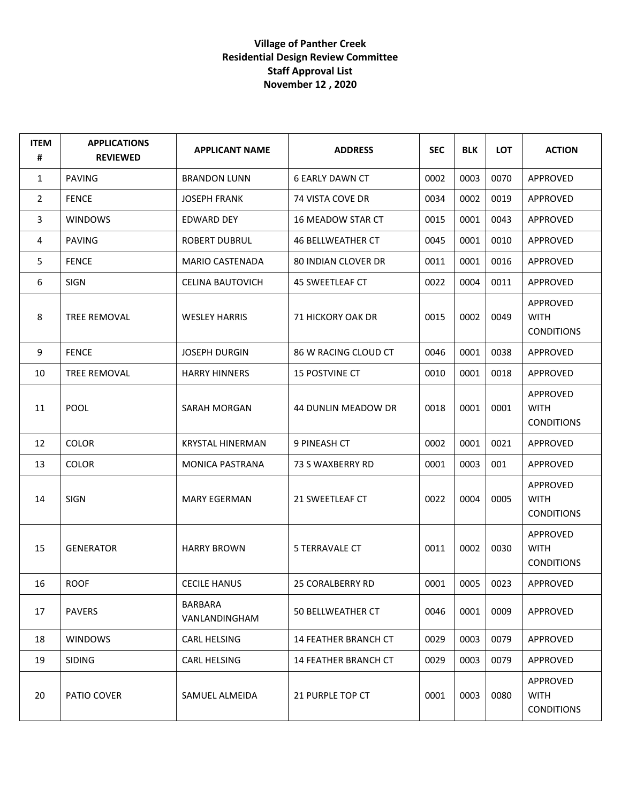## **Village of Panther Creek Residential Design Review Committee Staff Approval List November 12 , 2020**

| <b>ITEM</b><br># | <b>APPLICATIONS</b><br><b>REVIEWED</b> | <b>APPLICANT NAME</b>           | <b>ADDRESS</b>              | <b>SEC</b> | <b>BLK</b> | <b>LOT</b> | <b>ACTION</b>                                |
|------------------|----------------------------------------|---------------------------------|-----------------------------|------------|------------|------------|----------------------------------------------|
| $\mathbf{1}$     | <b>PAVING</b>                          | <b>BRANDON LUNN</b>             | <b>6 EARLY DAWN CT</b>      | 0002       | 0003       | 0070       | APPROVED                                     |
| $\overline{2}$   | <b>FENCE</b>                           | <b>JOSEPH FRANK</b>             | 74 VISTA COVE DR            | 0034       | 0002       | 0019       | APPROVED                                     |
| 3                | <b>WINDOWS</b>                         | EDWARD DEY                      | 16 MEADOW STAR CT           | 0015       | 0001       | 0043       | APPROVED                                     |
| 4                | <b>PAVING</b>                          | <b>ROBERT DUBRUL</b>            | <b>46 BELLWEATHER CT</b>    | 0045       | 0001       | 0010       | <b>APPROVED</b>                              |
| 5                | <b>FENCE</b>                           | <b>MARIO CASTENADA</b>          | <b>80 INDIAN CLOVER DR</b>  | 0011       | 0001       | 0016       | APPROVED                                     |
| 6                | SIGN                                   | <b>CELINA BAUTOVICH</b>         | 45 SWEETLEAF CT             | 0022       | 0004       | 0011       | APPROVED                                     |
| 8                | <b>TREE REMOVAL</b>                    | <b>WESLEY HARRIS</b>            | 71 HICKORY OAK DR           | 0015       | 0002       | 0049       | APPROVED<br><b>WITH</b><br><b>CONDITIONS</b> |
| 9                | <b>FENCE</b>                           | <b>JOSEPH DURGIN</b>            | 86 W RACING CLOUD CT        | 0046       | 0001       | 0038       | APPROVED                                     |
| 10               | <b>TREE REMOVAL</b>                    | <b>HARRY HINNERS</b>            | 15 POSTVINE CT              | 0010       | 0001       | 0018       | APPROVED                                     |
| 11               | <b>POOL</b>                            | SARAH MORGAN                    | 44 DUNLIN MEADOW DR         | 0018       | 0001       | 0001       | APPROVED<br><b>WITH</b><br><b>CONDITIONS</b> |
| 12               | <b>COLOR</b>                           | <b>KRYSTAL HINERMAN</b>         | 9 PINEASH CT                | 0002       | 0001       | 0021       | APPROVED                                     |
| 13               | <b>COLOR</b>                           | <b>MONICA PASTRANA</b>          | 73 S WAXBERRY RD            | 0001       | 0003       | 001        | APPROVED                                     |
| 14               | <b>SIGN</b>                            | <b>MARY EGERMAN</b>             | 21 SWEETLEAF CT             | 0022       | 0004       | 0005       | APPROVED<br><b>WITH</b><br><b>CONDITIONS</b> |
| 15               | <b>GENERATOR</b>                       | <b>HARRY BROWN</b>              | <b>5 TERRAVALE CT</b>       | 0011       | 0002       | 0030       | APPROVED<br><b>WITH</b><br><b>CONDITIONS</b> |
| 16               | <b>ROOF</b>                            | <b>CECILE HANUS</b>             | 25 CORALBERRY RD            | 0001       | 0005       | 0023       | APPROVED                                     |
| 17               | <b>PAVERS</b>                          | <b>BARBARA</b><br>VANLANDINGHAM | 50 BELLWEATHER CT           | 0046       | 0001       | 0009       | APPROVED                                     |
| 18               | <b>WINDOWS</b>                         | CARL HELSING                    | <b>14 FEATHER BRANCH CT</b> | 0029       | 0003       | 0079       | APPROVED                                     |
| 19               | <b>SIDING</b>                          | CARL HELSING                    | 14 FEATHER BRANCH CT        | 0029       | 0003       | 0079       | APPROVED                                     |
| 20               | PATIO COVER                            | SAMUEL ALMEIDA                  | 21 PURPLE TOP CT            | 0001       | 0003       | 0080       | APPROVED<br><b>WITH</b><br><b>CONDITIONS</b> |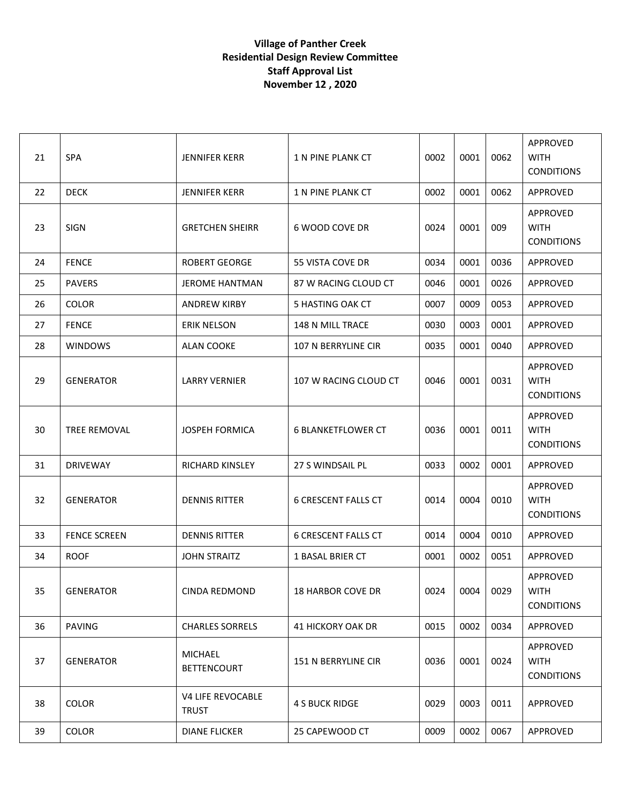## **Village of Panther Creek Residential Design Review Committee Staff Approval List November 12 , 2020**

| 21 | SPA                 | <b>JENNIFER KERR</b>                 | 1 N PINE PLANK CT          | 0002 | 0001 | 0062 | APPROVED<br><b>WITH</b><br><b>CONDITIONS</b> |
|----|---------------------|--------------------------------------|----------------------------|------|------|------|----------------------------------------------|
| 22 | <b>DECK</b>         | <b>JENNIFER KERR</b>                 | 1 N PINE PLANK CT          | 0002 | 0001 | 0062 | <b>APPROVED</b>                              |
| 23 | <b>SIGN</b>         | <b>GRETCHEN SHEIRR</b>               | 6 WOOD COVE DR             | 0024 | 0001 | 009  | APPROVED<br><b>WITH</b><br><b>CONDITIONS</b> |
| 24 | <b>FENCE</b>        | <b>ROBERT GEORGE</b>                 | 55 VISTA COVE DR           | 0034 | 0001 | 0036 | APPROVED                                     |
| 25 | <b>PAVERS</b>       | <b>JEROME HANTMAN</b>                | 87 W RACING CLOUD CT       | 0046 | 0001 | 0026 | APPROVED                                     |
| 26 | <b>COLOR</b>        | <b>ANDREW KIRBY</b>                  | 5 HASTING OAK CT           | 0007 | 0009 | 0053 | APPROVED                                     |
| 27 | <b>FENCE</b>        | <b>ERIK NELSON</b>                   | 148 N MILL TRACE           | 0030 | 0003 | 0001 | APPROVED                                     |
| 28 | <b>WINDOWS</b>      | <b>ALAN COOKE</b>                    | 107 N BERRYLINE CIR        | 0035 | 0001 | 0040 | APPROVED                                     |
| 29 | <b>GENERATOR</b>    | <b>LARRY VERNIER</b>                 | 107 W RACING CLOUD CT      | 0046 | 0001 | 0031 | APPROVED<br><b>WITH</b><br><b>CONDITIONS</b> |
| 30 | <b>TREE REMOVAL</b> | <b>JOSPEH FORMICA</b>                | <b>6 BLANKETFLOWER CT</b>  | 0036 | 0001 | 0011 | APPROVED<br><b>WITH</b><br><b>CONDITIONS</b> |
| 31 | <b>DRIVEWAY</b>     | <b>RICHARD KINSLEY</b>               | 27 S WINDSAIL PL           | 0033 | 0002 | 0001 | APPROVED                                     |
| 32 | <b>GENERATOR</b>    | <b>DENNIS RITTER</b>                 | <b>6 CRESCENT FALLS CT</b> | 0014 | 0004 | 0010 | APPROVED<br><b>WITH</b><br><b>CONDITIONS</b> |
| 33 | <b>FENCE SCREEN</b> | <b>DENNIS RITTER</b>                 | <b>6 CRESCENT FALLS CT</b> | 0014 | 0004 | 0010 | APPROVED                                     |
| 34 | <b>ROOF</b>         | <b>JOHN STRAITZ</b>                  | <b>1 BASAL BRIER CT</b>    | 0001 | 0002 | 0051 | APPROVED                                     |
| 35 | <b>GENERATOR</b>    | CINDA REDMOND                        | 18 HARBOR COVE DR          | 0024 | 0004 | 0029 | APPROVED<br><b>WITH</b><br><b>CONDITIONS</b> |
| 36 | <b>PAVING</b>       | <b>CHARLES SORRELS</b>               | <b>41 HICKORY OAK DR</b>   | 0015 | 0002 | 0034 | APPROVED                                     |
| 37 | <b>GENERATOR</b>    | <b>MICHAEL</b><br><b>BETTENCOURT</b> | 151 N BERRYLINE CIR        | 0036 | 0001 | 0024 | APPROVED<br><b>WITH</b><br><b>CONDITIONS</b> |
| 38 | <b>COLOR</b>        | V4 LIFE REVOCABLE<br><b>TRUST</b>    | <b>4 S BUCK RIDGE</b>      | 0029 | 0003 | 0011 | APPROVED                                     |
| 39 | COLOR               | <b>DIANE FLICKER</b>                 | 25 CAPEWOOD CT             | 0009 | 0002 | 0067 | APPROVED                                     |